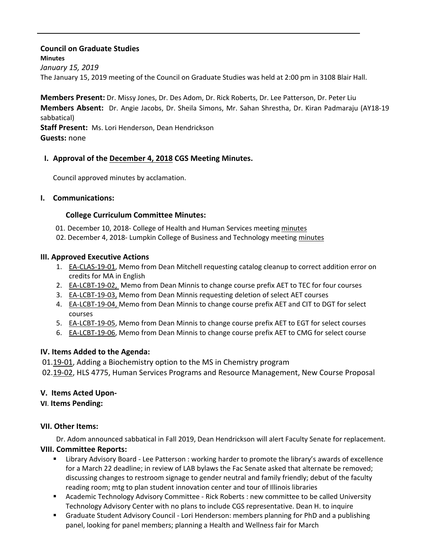## **Council on Graduate Studies Minutes** *January 15, 2019* The January 15, 2019 meeting of the Council on Graduate Studies was held at 2:00 pm in 3108 Blair Hall.

**Members Present:** Dr. Missy Jones, Dr. Des Adom, Dr. Rick Roberts, Dr. Lee Patterson, Dr. Peter Liu **Members Absent:** Dr. Angie Jacobs, Dr. Sheila Simons, Mr. Sahan Shrestha, Dr. Kiran Padmaraju (AY18‐19 sabbatical)

**Staff Present:** Ms. Lori Henderson, Dean Hendrickson **Guests:** none

# **I. Approval of the [December](http://castle.eiu.edu/eiucgs/currentminutes/Minutes12-04-18.pdf) 4, 2018 CGS Meeting Minutes.**

Council approved minutes by acclamation.

#### **I. Communications:**

#### **College Curriculum Committee Minutes:**

- 01. December 10, 2018- College of Health and Human Services meeting [minutes](https://www.eiu.edu/healthcol/curriculum.php)
- 02. December 4, 2018- Lumpkin College of Business and Technology meeting [minutes](https://www.eiu.edu/lumpkin/curriculum/lcbatcurrmin20181204.pdf)

#### **III. Approved Executive Actions**

- 1. EA‐[CLAS](http://castle.eiu.edu/eiucgs/exec-actions/EA-CLAS-19-01.pdf)‐19‐01, Memo from Dean Mitchell requesting catalog cleanup to correct addition error on credits for MA in English
- 2. EA-[LCBT](http://castle.eiu.edu/eiucgs/exec-actions/EA-LCBT-19-02.pdf)-19-02, Memo from Dean Minnis to change course prefix AET to TEC for four courses
- 3. EA-[LCBT](http://castle.eiu.edu/eiucgs/exec-actions/EA-LCBT-19-03.pdf)-19-03, Memo from Dean Minnis requesting deletion of select AET courses
- 4. EA-[LCBT](http://castle.eiu.edu/eiucgs/exec-actions/EA-LCBT-19-04.pdf)-19-04, Memo from Dean Minnis to change course prefix AET and CIT to DGT for select courses
- 5. EA-[LCBT](http://castle.eiu.edu/eiucgs/exec-actions/EA-LCBT-19-05.pdf)-19-05, Memo from Dean Minnis to change course prefix AET to EGT for select courses
- 6. EA‐[LCBT](http://castle.eiu.edu/eiucgs/exec-actions/EA-LCBT-19-06.pdf)‐19‐06, Memo from Dean Minnis to change course prefix AET to CMG for select course

## **IV. Items Added to the Agenda:**

01.19-[01,](http://castle.eiu.edu/eiucgs/currentagendaitems/agenda19-01.pdf) Adding a Biochemistry option to the MS in Chemistry program

02.19–[02,](http://castle.eiu.edu/eiucgs/currentagendaitems/agenda19-02.pdf) HLS 4775, Human Services Programs and Resource Management, New Course Proposal

## **V. Items Acted Upon‐**

#### **VI**. **Items Pending:**

## **VII. Other Items:**

 Dr. Adom announced sabbatical in Fall 2019, Dean Hendrickson will alert Faculty Senate for replacement. **VIII. Committee Reports:**

- Library Advisory Board ‐ Lee Patterson : working harder to promote the library's awards of excellence for a March 22 deadline; in review of LAB bylaws the Fac Senate asked that alternate be removed; discussing changes to restroom signage to gender neutral and family friendly; debut of the faculty reading room; mtg to plan student innovation center and tour of Illinois libraries
- Academic Technology Advisory Committee Rick Roberts : new committee to be called University Technology Advisory Center with no plans to include CGS representative. Dean H. to inquire
- Graduate Student Advisory Council Lori Henderson: members planning for PhD and a publishing panel, looking for panel members; planning a Health and Wellness fair for March